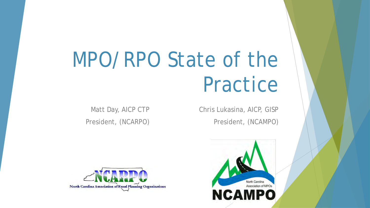# MPO/RPO State of the Practice

Matt Day, AICP CTP President, (NCARPO)

Chris Lukasina, AICP, GISP President, (NCAMPO)



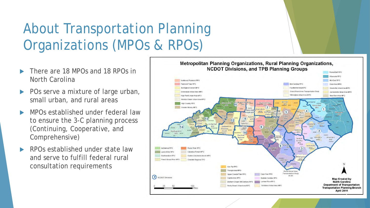# About Transportation Planning Organizations (MPOs & RPOs)

- There are 18 MPOs and 18 RPOs in North Carolina
- POs serve a mixture of large urban, small urban, and rural areas
- MPOs established under federal law to ensure the 3-C planning process (Continuing, Cooperative, and Comprehensive)
- RPOs established under state law and serve to fulfill federal rural consultation requirements

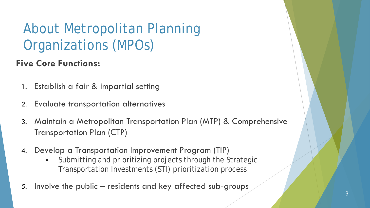### About Metropolitan Planning Organizations (MPOs)

#### **Five Core Functions:**

- 1. Establish a fair & impartial setting
- 2. Evaluate transportation alternatives
- 3. Maintain a Metropolitan Transportation Plan (MTP) & Comprehensive Transportation Plan (CTP)
- 4. Develop a Transportation Improvement Program (TIP)
	- Submitting and prioritizing projects through the Strategic Transportation Investments (STI) prioritization process
- 5. Involve the public residents and key affected sub-groups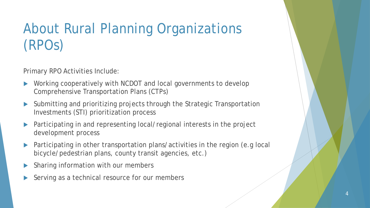## About Rural Planning Organizations (RPOs)

Primary RPO Activities Include:

- ▶ Working cooperatively with NCDOT and local governments to develop Comprehensive Transportation Plans (CTPs)
- Submitting and prioritizing projects through the Strategic Transportation Investments (STI) prioritization process
- Participating in and representing local/regional interests in the project development process
- Participating in other transportation plans/activities in the region (e.g local bicycle/pedestrian plans, county transit agencies, etc.)
- Sharing information with our members
- Serving as a technical resource for our members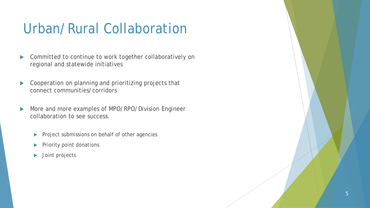### Urban/Rural Collaboration

- Committed to continue to work together collaboratively on regional and statewide initiatives
- Cooperation on planning and prioritizing projects that connect communities/corridors
- More and more examples of MPO/RPO/Division Engineer collaboration to see success.
	- Project submissions on behalf of other agencies
	- Priority point donations
	- Joint projects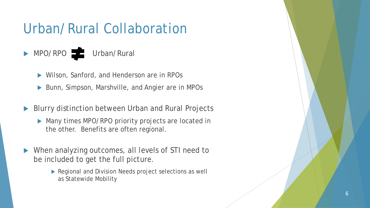### Urban/Rural Collaboration

### MPO/RPO Urban/Rural

- Wilson, Sanford, and Henderson are in RPOs
- ▶ Bunn, Simpson, Marshville, and Angier are in MPOs
- Blurry distinction between Urban and Rural Projects
	- Many times MPO/RPO priority projects are located in the other. Benefits are often regional.
- When analyzing outcomes, all levels of STI need to be included to get the full picture.
	- Regional and Division Needs project selections as well as Statewide Mobility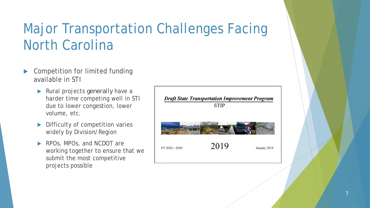### Major Transportation Challenges Facing North Carolina

- Competition for limited funding available in STI
	- Rural projects *generally* have a harder time competing well in STI due to lower congestion, lower volume, etc.
	- Difficulty of competition varies widely by Division/Region
	- RPOs, MPOs, and NCDOT are working together to ensure that we submit the most competitive projects possible

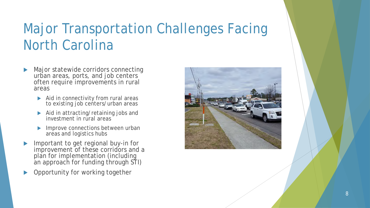### Major Transportation Challenges Facing North Carolina

- Major statewide corridors connecting urban areas, ports, and job centers often require improvements in rural areas
	- Aid in connectivity from rural areas to existing job centers/urban areas
	- Aid in attracting/retaining jobs and investment in rural areas
	- Improve connections between urban areas and logistics hubs
- Important to get regional buy-in for improvement of these corridors and a plan for implementation (including an approach for funding through STI)
- Opportunity for working together

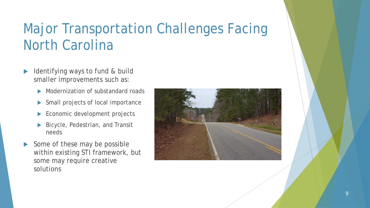### Major Transportation Challenges Facing North Carolina

- Identifying ways to fund & build smaller improvements such as:
	- Modernization of substandard roads
	- Small projects of local importance
	- Economic development projects
	- Bicycle, Pedestrian, and Transit needs
- Some of these may be possible within existing STI framework, but some may require creative solutions

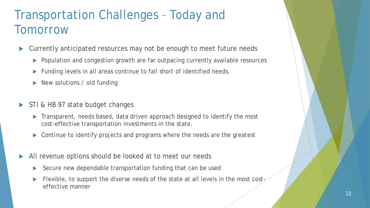### Transportation Challenges – Today and Tomorrow

- Currently anticipated resources may not be enough to meet future needs
	- ▶ Population and congestion growth are far outpacing currently available resources
	- Funding levels in all areas continue to fall short of identified needs.
	- New solutions / old funding
- STI & HB 97 state budget changes
	- Transparent, needs based, data driven approach designed to identify the most cost-effective transportation investments in the state.
	- ▶ Continue to identify projects and programs where the needs are the greatest
- All revenue options should be looked at to meet our needs
	- Secure new dependable transportation funding that can be used
	- Flexible, to support the diverse needs of the state at all levels in the most costeffective manner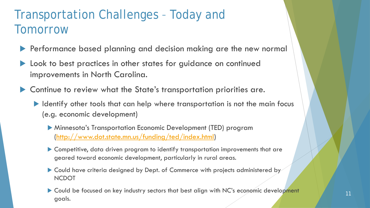### Transportation Challenges – Today and Tomorrow

- Performance based planning and decision making are the new normal
- Look to best practices in other states for guidance on continued improvements in North Carolina.
- Continue to review what the State's transportation priorities are.
	- Intertative other tools that can help where transportation is not the main focus (e.g. economic development)
		- Minnesota's Transportation Economic Development (TED) program [\(http://www.dot.state.mn.us/funding/ted/index.html](http://www.dot.state.mn.us/funding/ted/index.html))
		- Competitive, data driven program to identify transportation improvements that are geared toward economic development, particularly in rural areas.
		- ▶ Could have criteria designed by Dept. of Commerce with projects administered by NCDOT
		- ▶ Could be focused on key industry sectors that best align with NC's economic development goals.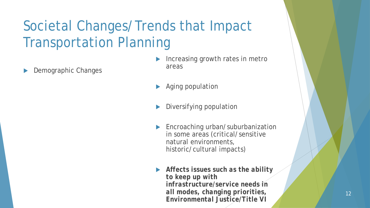Demographic Changes

- Increasing growth rates in metro areas
- Aging population
- Diversifying population
- **Encroaching urban/suburbanization** in some areas (critical/sensitive natural environments, historic/cultural impacts)
- *Affects issues such as the ability to keep up with infrastructure/service needs in all modes, changing priorities, Environmental Justice/Title VI*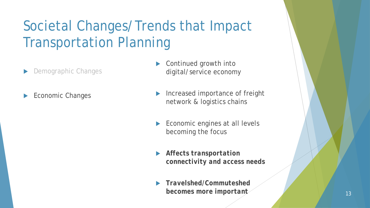- Demographic Changes
- Economic Changes
- Continued growth into digital/service economy
- Increased importance of freight network & logistics chains
- Economic engines at all levels becoming the focus
- *Affects transportation connectivity and access needs*
- *Travelshed/Commuteshed*  **becomes more important** 13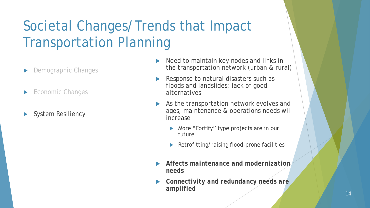- Demographic Changes
- Economic Changes
- System Resiliency
- Need to maintain key nodes and links in the transportation network (urban & rural)
- Response to natural disasters such as floods and landslides; lack of good alternatives
- As the transportation network evolves and ages, maintenance & operations needs will increase
	- ▶ More "Fortify" type projects are in our future
	- Retrofitting/raising flood-prone facilities
- *Affects maintenance and modernization needs*
- *Connectivity and redundancy needs are amplified*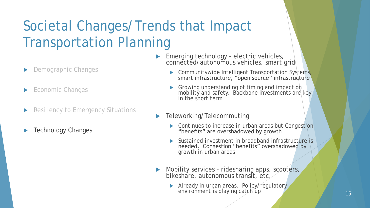- Demographic Changes
- Economic Changes
- Resiliency to Emergency Situations
- Technology Changes
- Emerging technology electric vehicles, connected/autonomous vehicles, smart grid
	- **Communitywide Intelligent Transportation Systems,** smart infrastructure, "open source" infrastructure
	- **S** Growing understanding of timing and impact on mobility and safety. Backbone investments are key in the short term
- Teleworking/Telecommuting
	- Continues to increase in urban areas but Congestion "benefits" are overshadowed by growth
	- Sustained investment in broadband infrastructure is needed. Congestion "benefits" overshadowed by growth in urban areas
- Mobility services ridesharing apps, scooters, bikeshare, autonomous transit, etc.
	- Already in urban areas. Policy/regulatory environment is playing catch up 15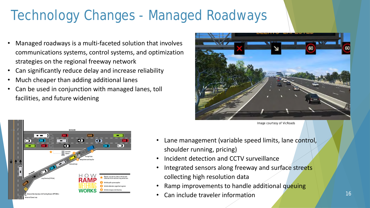### Technology Changes - Managed Roadways

- Managed roadways is a multi-faceted solution that involves communications systems, control systems, and optimization strategies on the regional freeway network
- Can significantly reduce delay and increase reliability
- Much cheaper than adding additional lanes
- Can be used in conjunction with managed lanes, toll facilities, and future widening







- Lane management (variable speed limits, lane control, shoulder running, pricing)
- Incident detection and CCTV surveillance
- Integrated sensors along freeway and surface streets collecting high resolution data
- Ramp improvements to handle additional queuing
- Can include traveler information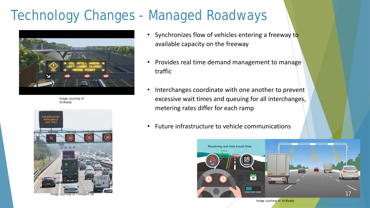### Technology Changes - Managed Roadways



Image courtesy of VicRoads



Image courtesy of Transport UK

- Synchronizes flow of vehicles entering a freeway to available capacity on the freeway
- Provides real time demand management to manage traffic
- Interchanges coordinate with one another to prevent excessive wait times and queuing for all interchanges, metering rates differ for each ramp
- Future infrastructure to vehicle communications

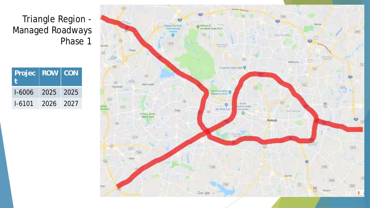#### Triangle Region - Managed Roadways Phase 1

| Projec   ROW   CON |                |  |
|--------------------|----------------|--|
| $1-6006$ 2025 2025 |                |  |
| $1 - 6101$         | $-2026 - 2027$ |  |